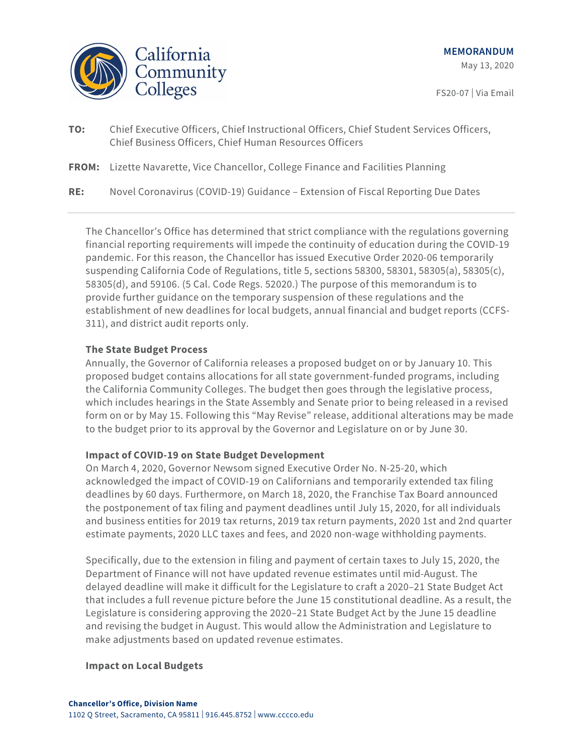

FS20-07 | Via Email

- **TO:** Chief Executive Officers, Chief Instructional Officers, Chief Student Services Officers, Chief Business Officers, Chief Human Resources Officers
- **FROM:** Lizette Navarette, Vice Chancellor, College Finance and Facilities Planning
- **RE:** Novel Coronavirus (COVID-19) Guidance Extension of Fiscal Reporting Due Dates

The Chancellor's Office has determined that strict compliance with the regulations governing financial reporting requirements will impede the continuity of education during the COVID-19 pandemic. For this reason, the Chancellor has issued Executive Order 2020-06 temporarily suspending California Code of Regulations, title 5, sections 58300, 58301, 58305(a), 58305(c), 58305(d), and 59106. (5 Cal. Code Regs. 52020.) The purpose of this memorandum is to provide further guidance on the temporary suspension of these regulations and the establishment of new deadlines for local budgets, annual financial and budget reports (CCFS-311), and district audit reports only.

# **The State Budget Process**

Annually, the Governor of California releases a proposed budget on or by January 10. This proposed budget contains allocations for all state government-funded programs, including the California Community Colleges. The budget then goes through the legislative process, which includes hearings in the State Assembly and Senate prior to being released in a revised form on or by May 15. Following this "May Revise" release, additional alterations may be made to the budget prior to its approval by the Governor and Legislature on or by June 30.

# **Impact of COVID-19 on State Budget Development**

On March 4, 2020, Governor Newsom signed Executive Order No. N-25-20, which acknowledged the impact of COVID-19 on Californians and temporarily extended tax filing deadlines by 60 days. Furthermore, on March 18, 2020, the Franchise Tax Board announced the postponement of tax filing and payment deadlines until July 15, 2020, for all individuals and business entities for 2019 tax returns, 2019 tax return payments, 2020 1st and 2nd quarter estimate payments, 2020 LLC taxes and fees, and 2020 non-wage withholding payments.

Specifically, due to the extension in filing and payment of certain taxes to July 15, 2020, the Department of Finance will not have updated revenue estimates until mid-August. The delayed deadline will make it difficult for the Legislature to craft a 2020–21 State Budget Act that includes a full revenue picture before the June 15 constitutional deadline. As a result, the Legislature is considering approving the 2020–21 State Budget Act by the June 15 deadline and revising the budget in August. This would allow the Administration and Legislature to make adjustments based on updated revenue estimates.

# **Impact on Local Budgets**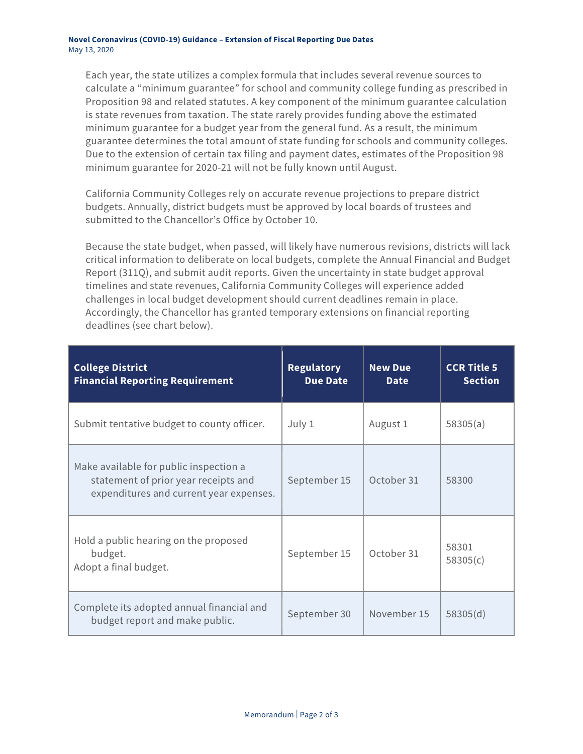Each year, the state utilizes a complex formula that includes several revenue sources to calculate a "minimum guarantee" for school and community college funding as prescribed in Proposition 98 and related statutes. A key component of the minimum guarantee calculation is state revenues from taxation. The state rarely provides funding above the estimated minimum guarantee for a budget year from the general fund. As a result, the minimum guarantee determines the total amount of state funding for schools and community colleges. Due to the extension of certain tax filing and payment dates, estimates of the Proposition 98 minimum guarantee for 2020-21 will not be fully known until August.

California Community Colleges rely on accurate revenue projections to prepare district budgets. Annually, district budgets must be approved by local boards of trustees and submitted to the Chancellor's Office by October 10.

Because the state budget, when passed, will likely have numerous revisions, districts will lack critical information to deliberate on local budgets, complete the Annual Financial and Budget Report (311Q), and submit audit reports. Given the uncertainty in state budget approval timelines and state revenues, California Community Colleges will experience added challenges in local budget development should current deadlines remain in place. Accordingly, the Chancellor has granted temporary extensions on financial reporting deadlines (see chart below).

| <b>College District</b><br><b>Financial Reporting Requirement</b>                                                         | <b>Regulatory</b><br><b>Due Date</b> | <b>New Due</b><br><b>Date</b> | <b>CCR Title 5</b><br><b>Section</b> |
|---------------------------------------------------------------------------------------------------------------------------|--------------------------------------|-------------------------------|--------------------------------------|
| Submit tentative budget to county officer.                                                                                | July 1                               | August 1                      | 58305(a)                             |
| Make available for public inspection a<br>statement of prior year receipts and<br>expenditures and current year expenses. | September 15                         | October 31                    | 58300                                |
| Hold a public hearing on the proposed<br>budget.<br>Adopt a final budget.                                                 | September 15                         | October 31                    | 58301<br>58305(c)                    |
| Complete its adopted annual financial and<br>budget report and make public.                                               | September 30                         | November 15                   | 58305(d)                             |